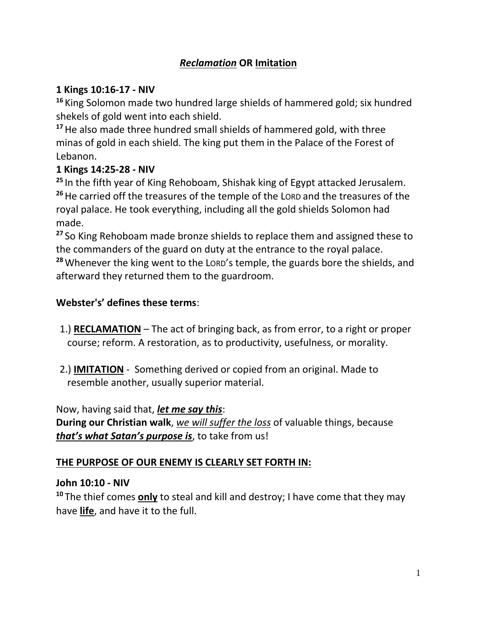# *Reclamation* **OR Imitation**

### **1 Kings 10:16-17 - NIV**

**<sup>16</sup>** King Solomon made two hundred large shields of hammered gold; six hundred shekels of gold went into each shield.

**<sup>17</sup>**He also made three hundred small shields of hammered gold, with three minas of gold in each shield. The king put them in the Palace of the Forest of Lebanon.

### **1 Kings 14:25-28 - NIV**

**<sup>25</sup>** In the fifth year of King Rehoboam, Shishak king of Egypt attacked Jerusalem. **<sup>26</sup>**He carried off the treasures of the temple of the LORD and the treasures of the royal palace. He took everything, including all the gold shields Solomon had made.

**<sup>27</sup>** So King Rehoboam made bronze shields to replace them and assigned these to the commanders of the guard on duty at the entrance to the royal palace. **<sup>28</sup>**Whenever the king went to the LORD's temple, the guards bore the shields, and afterward they returned them to the guardroom.

### **Webster's' defines these terms**:

- 1.) **RECLAMATION** The act of bringing back, as from error, to a right or proper course; reform. A restoration, as to productivity, usefulness, or morality.
- 2.) **IMITATION** Something derived or copied from an original. Made to resemble another, usually superior material.

### Now, having said that, *let me say this*:

**During our Christian walk**, *we will suffer the loss* of valuable things, because *that's what Satan's purpose is*, to take from us!

### **THE PURPOSE OF OUR ENEMY IS CLEARLY SET FORTH IN:**

### **John 10:10 - NIV**

**<sup>10</sup>** The thief comes **only** to steal and kill and destroy; I have come that they may have **life**, and have it to the full.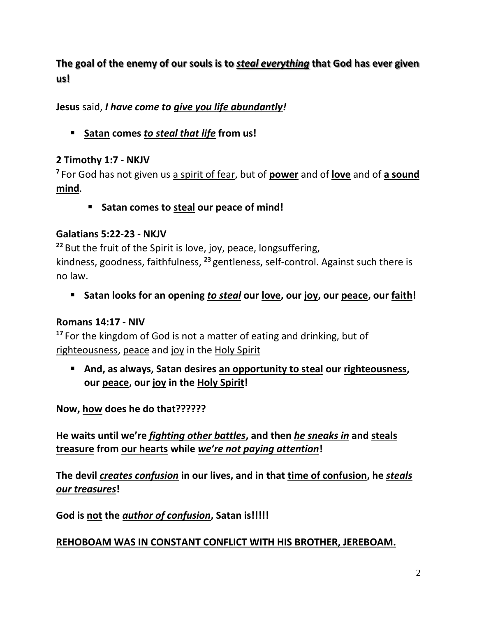# **The goal of the enemy of our souls is to** *steal everything* **that God has ever given us!**

**Jesus** said, *I have come to give you life abundantly!*

▪ **Satan comes** *to steal that life* **from us!**

## **2 Timothy 1:7 - NKJV**

**7** For God has not given us a spirit of fear, but of **power** and of **love** and of **a sound mind**.

▪ **Satan comes to steal our peace of mind!**

## **Galatians 5:22-23 - NKJV**

**<sup>22</sup>** But the fruit of the Spirit is love, joy, peace, longsuffering, kindness, goodness, faithfulness, **<sup>23</sup>** gentleness, self-control. Against such there is no law.

▪ **Satan looks for an opening** *to steal* **our love, our joy, our peace, our faith!**

## **Romans 14:17 - NIV**

**<sup>17</sup>** For the kingdom of God is not a matter of eating and drinking, but of righteousness, peace and joy in the Holy Spirit

■ And, as always, Satan desires an opportunity to steal our righteousness, **our peace, our joy in the Holy Spirit!**

**Now, how does he do that??????**

**He waits until we're** *fighting other battles***, and then** *he sneaks in* **and steals treasure from our hearts while** *we're not paying attention***!**

**The devil** *creates confusion* **in our lives, and in that time of confusion, he** *steals our treasures***!**

**God is not the** *author of confusion***, Satan is!!!!!**

## **REHOBOAM WAS IN CONSTANT CONFLICT WITH HIS BROTHER, JEREBOAM.**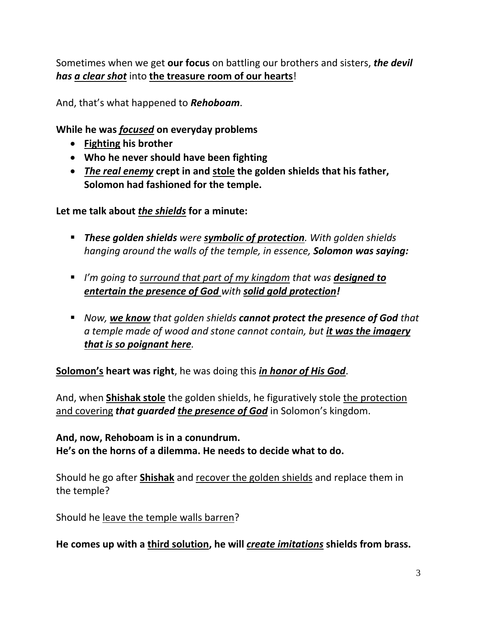Sometimes when we get **our focus** on battling our brothers and sisters, *the devil has a clear shot* into **the treasure room of our hearts**!

And, that's what happened to *Rehoboam*.

**While he was** *focused* **on everyday problems** 

- **Fighting his brother**
- **Who he never should have been fighting**
- *The real enemy* **crept in and stole the golden shields that his father, Solomon had fashioned for the temple.**

**Let me talk about** *the shields* **for a minute:**

- *These golden shields were symbolic of protection. With golden shields hanging around the walls of the temple, in essence, Solomon was saying:*
- *I'm going to surround that part of my kingdom that was designed to entertain the presence of God with solid gold protection!*
- *Now, we know that golden shields cannot protect the presence of God that a temple made of wood and stone cannot contain, but it was the imagery that is so poignant here.*

**Solomon's heart was right**, he was doing this *in honor of His God*.

And, when **Shishak stole** the golden shields, he figuratively stole the protection and covering *that guarded the presence of God* in Solomon's kingdom.

**And, now, Rehoboam is in a conundrum. He's on the horns of a dilemma. He needs to decide what to do.**

Should he go after **Shishak** and recover the golden shields and replace them in the temple?

Should he leave the temple walls barren?

**He comes up with a third solution, he will** *create imitations* **shields from brass.**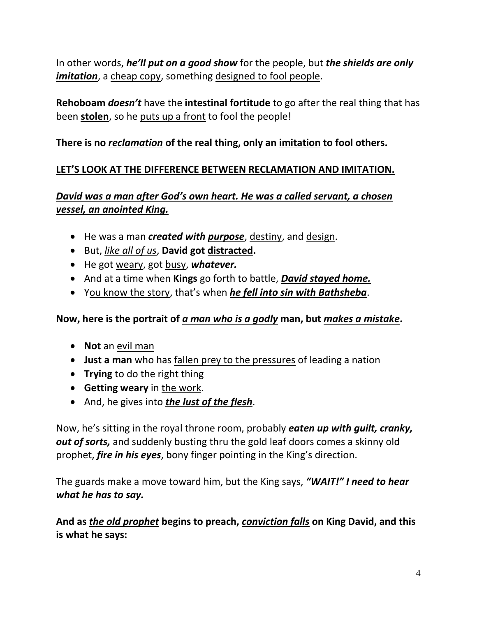In other words, *he'll put on a good show* for the people, but *the shields are only imitation*, a cheap copy, something designed to fool people.

**Rehoboam** *doesn't* have the **intestinal fortitude** to go after the real thing that has been **stolen**, so he puts up a front to fool the people!

## **There is no** *reclamation* **of the real thing, only an imitation to fool others.**

## **LET'S LOOK AT THE DIFFERENCE BETWEEN RECLAMATION AND IMITATION.**

## *David was a man after God's own heart. He was a called servant, a chosen vessel, an anointed King.*

- He was a man *created with purpose*, destiny, and design.
- But, *like all of us*, **David got distracted.**
- He got weary, got busy, *whatever.*
- And at a time when **Kings** go forth to battle, *David stayed home.*
- You know the story, that's when *he fell into sin with Bathsheba*.

## **Now, here is the portrait of** *a man who is a godly* **man, but** *makes a mistake***.**

- **Not** an evil man
- **Just a man** who has fallen prey to the pressures of leading a nation
- **Trying** to do the right thing
- **Getting weary** in the work.
- And, he gives into *the lust of the flesh*.

Now, he's sitting in the royal throne room, probably *eaten up with guilt, cranky, out of sorts,* and suddenly busting thru the gold leaf doors comes a skinny old prophet, *fire in his eyes*, bony finger pointing in the King's direction.

The guards make a move toward him, but the King says, *"WAIT!" I need to hear what he has to say.*

**And as** *the old prophet* **begins to preach,** *conviction falls* **on King David, and this is what he says:**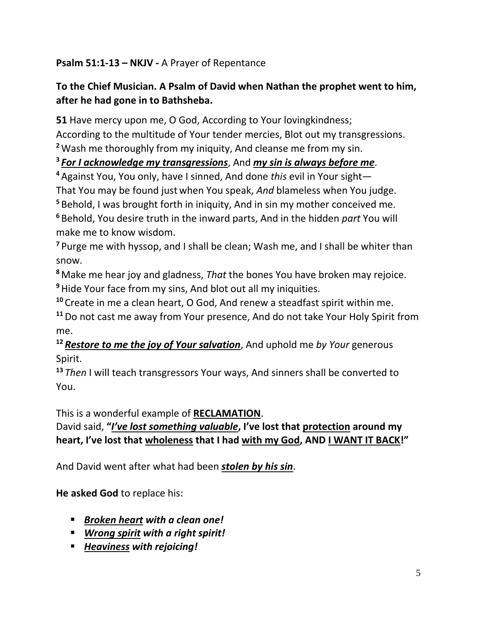## **Psalm 51:1-13 – NKJV -** A Prayer of Repentance

# **To the Chief Musician. A Psalm of David when Nathan the prophet went to him, after he had gone in to Bathsheba.**

**51** Have mercy upon me, O God, According to Your lovingkindness;

According to the multitude of Your tender mercies, Blot out my transgressions. **<sup>2</sup>**Wash me thoroughly from my iniquity, And cleanse me from my sin.

# **3** *For I acknowledge my transgressions*, And *my sin is always before me*.

**<sup>4</sup>** Against You, You only, have I sinned, And done *this* evil in Your sight—

That You may be found just when You speak, *And* blameless when You judge.

**<sup>5</sup>** Behold, I was brought forth in iniquity, And in sin my mother conceived me.

**<sup>6</sup>** Behold, You desire truth in the inward parts, And in the hidden *part* You will make me to know wisdom.

**<sup>7</sup>** Purge me with hyssop, and I shall be clean; Wash me, and I shall be whiter than snow.

**<sup>8</sup>** Make me hear joy and gladness, *That* the bones You have broken may rejoice. **<sup>9</sup>**Hide Your face from my sins, And blot out all my iniquities.

**<sup>10</sup>** Create in me a clean heart, O God, And renew a steadfast spirit within me.

**<sup>11</sup>**Do not cast me away from Your presence, And do not take Your Holy Spirit from me.

**<sup>12</sup>** *Restore to me the joy of Your salvation*, And uphold me *by Your* generous Spirit.

**<sup>13</sup>** *Then* I will teach transgressors Your ways, And sinners shall be converted to You.

This is a wonderful example of **RECLAMATION**.

# David said, **"***I've lost something valuable***, I've lost that protection around my heart, I've lost that wholeness that I had with my God, AND I WANT IT BACK!"**

And David went after what had been *stolen by his sin*.

**He asked God** to replace his:

- *Broken heart with a clean one!*
- *Wrong spirit with a right spirit!*
- *Heaviness with rejoicing!*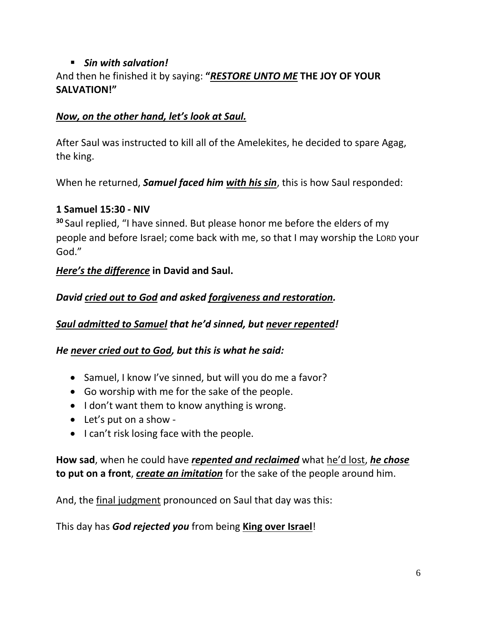# ▪ *Sin with salvation!*

## And then he finished it by saying: **"***RESTORE UNTO ME* **THE JOY OF YOUR SALVATION!"**

### *Now, on the other hand, let's look at Saul.*

After Saul was instructed to kill all of the Amelekites, he decided to spare Agag, the king.

When he returned, *Samuel faced him with his sin*, this is how Saul responded:

### **1 Samuel 15:30 - NIV**

**<sup>30</sup>** Saul replied, "I have sinned. But please honor me before the elders of my people and before Israel; come back with me, so that I may worship the LORD your God."

## *Here's the difference* **in David and Saul.**

*David cried out to God and asked forgiveness and restoration.*

*Saul admitted to Samuel that he'd sinned, but never repented!* 

*He never cried out to God, but this is what he said:*

- Samuel, I know I've sinned, but will you do me a favor?
- Go worship with me for the sake of the people.
- I don't want them to know anything is wrong.
- Let's put on a show -
- I can't risk losing face with the people.

## **How sad**, when he could have *repented and reclaimed* what he'd lost, *he chose* **to put on a front**, *create an imitation* for the sake of the people around him.

And, the final judgment pronounced on Saul that day was this:

This day has *God rejected you* from being **King over Israel**!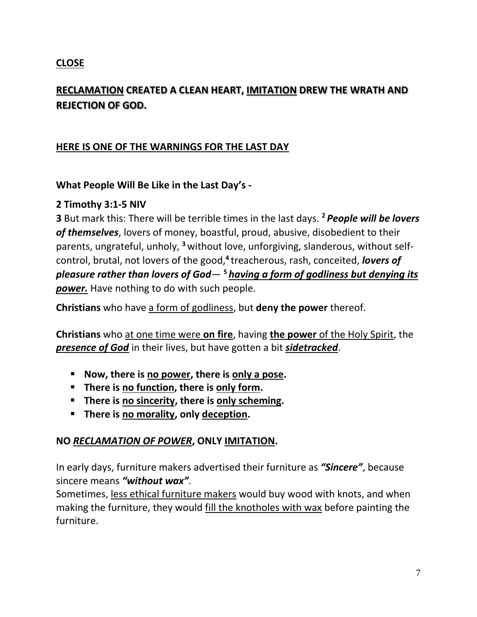## **CLOSE**

# **RECLAMATION CREATED A CLEAN HEART, IMITATION DREW THE WRATH AND REJECTION OF GOD.**

## **HERE IS ONE OF THE WARNINGS FOR THE LAST DAY**

#### **What People Will Be Like in the Last Day's -**

#### **2 Timothy 3:1-5 NIV**

**3** But mark this: There will be terrible times in the last days. **<sup>2</sup>** *People will be lovers of themselves*, lovers of money, boastful, proud, abusive, disobedient to their parents, ungrateful, unholy, **<sup>3</sup>** without love, unforgiving, slanderous, without selfcontrol, brutal, not lovers of the good,**<sup>4</sup>** treacherous, rash, conceited, *lovers of pleasure rather than lovers of God*— **<sup>5</sup>** *having a form of godliness but denying its power.* Have nothing to do with such people.

**Christians** who have a form of godliness, but **deny the power** thereof.

**Christians** who at one time were **on fire**, having **the power** of the Holy Spirit, the *presence of God* in their lives, but have gotten a bit *sidetracked*.

- **Now, there is no power, there is only a pose.**
- **There is no function, there is only form.**
- **There is no sincerity, there is only scheming.**
- **There is no morality, only deception.**

### **NO** *RECLAMATION OF POWER***, ONLY IMITATION.**

In early days, furniture makers advertised their furniture as *"Sincere"*, because sincere means *"without wax"*.

Sometimes, less ethical furniture makers would buy wood with knots, and when making the furniture, they would fill the knotholes with wax before painting the furniture.